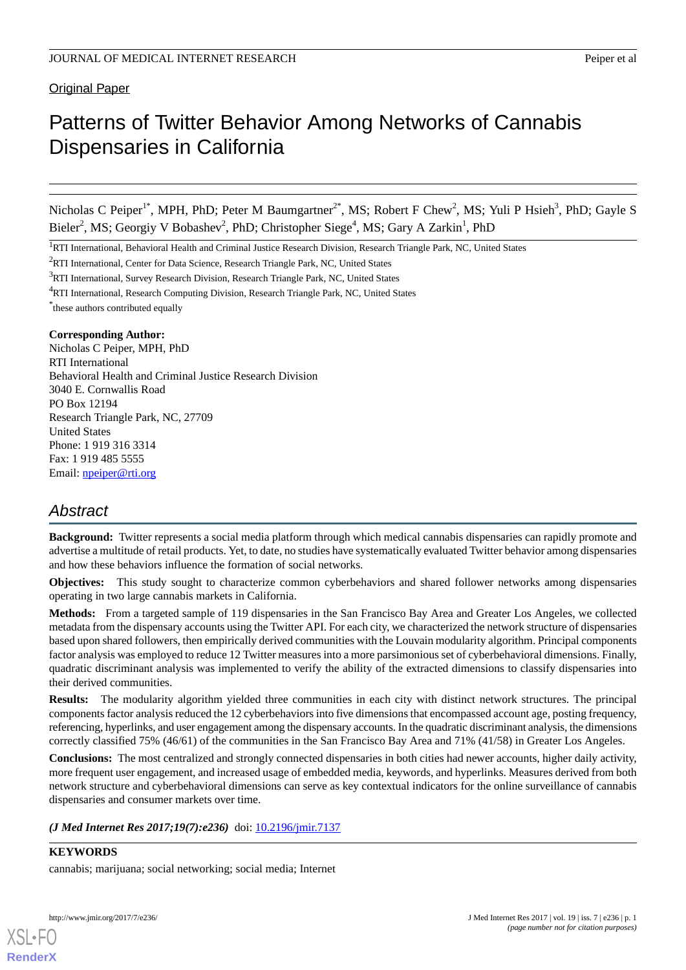### Original Paper

# Patterns of Twitter Behavior Among Networks of Cannabis Dispensaries in California

Nicholas C Peiper<sup>1\*</sup>, MPH, PhD; Peter M Baumgartner<sup>2\*</sup>, MS; Robert F Chew<sup>2</sup>, MS; Yuli P Hsieh<sup>3</sup>, PhD; Gayle S Bieler<sup>2</sup>, MS; Georgiy V Bobashev<sup>2</sup>, PhD; Christopher Siege<sup>4</sup>, MS; Gary A Zarkin<sup>1</sup>, PhD

<sup>2</sup>RTI International, Center for Data Science, Research Triangle Park, NC, United States

\* these authors contributed equally

#### **Corresponding Author:**

Nicholas C Peiper, MPH, PhD RTI International Behavioral Health and Criminal Justice Research Division 3040 E. Cornwallis Road PO Box 12194 Research Triangle Park, NC, 27709 United States Phone: 1 919 316 3314 Fax: 1 919 485 5555 Email: [npeiper@rti.org](mailto:npeiper@rti.org)

# *Abstract*

**Background:** Twitter represents a social media platform through which medical cannabis dispensaries can rapidly promote and advertise a multitude of retail products. Yet, to date, no studies have systematically evaluated Twitter behavior among dispensaries and how these behaviors influence the formation of social networks.

**Objectives:** This study sought to characterize common cyberbehaviors and shared follower networks among dispensaries operating in two large cannabis markets in California.

**Methods:** From a targeted sample of 119 dispensaries in the San Francisco Bay Area and Greater Los Angeles, we collected metadata from the dispensary accounts using the Twitter API. For each city, we characterized the network structure of dispensaries based upon shared followers, then empirically derived communities with the Louvain modularity algorithm. Principal components factor analysis was employed to reduce 12 Twitter measures into a more parsimonious set of cyberbehavioral dimensions. Finally, quadratic discriminant analysis was implemented to verify the ability of the extracted dimensions to classify dispensaries into their derived communities.

**Results:** The modularity algorithm yielded three communities in each city with distinct network structures. The principal components factor analysis reduced the 12 cyberbehaviors into five dimensions that encompassed account age, posting frequency, referencing, hyperlinks, and user engagement among the dispensary accounts. In the quadratic discriminant analysis, the dimensions correctly classified 75% (46/61) of the communities in the San Francisco Bay Area and 71% (41/58) in Greater Los Angeles.

**Conclusions:** The most centralized and strongly connected dispensaries in both cities had newer accounts, higher daily activity, more frequent user engagement, and increased usage of embedded media, keywords, and hyperlinks. Measures derived from both network structure and cyberbehavioral dimensions can serve as key contextual indicators for the online surveillance of cannabis dispensaries and consumer markets over time.

*(J Med Internet Res 2017;19(7):e236)* doi: [10.2196/jmir.7137](http://dx.doi.org/10.2196/jmir.7137)

#### **KEYWORDS**

cannabis; marijuana; social networking; social media; Internet

<sup>&</sup>lt;sup>1</sup>RTI International, Behavioral Health and Criminal Justice Research Division, Research Triangle Park, NC, United States

<sup>&</sup>lt;sup>3</sup>RTI International, Survey Research Division, Research Triangle Park, NC, United States

<sup>4</sup>RTI International, Research Computing Division, Research Triangle Park, NC, United States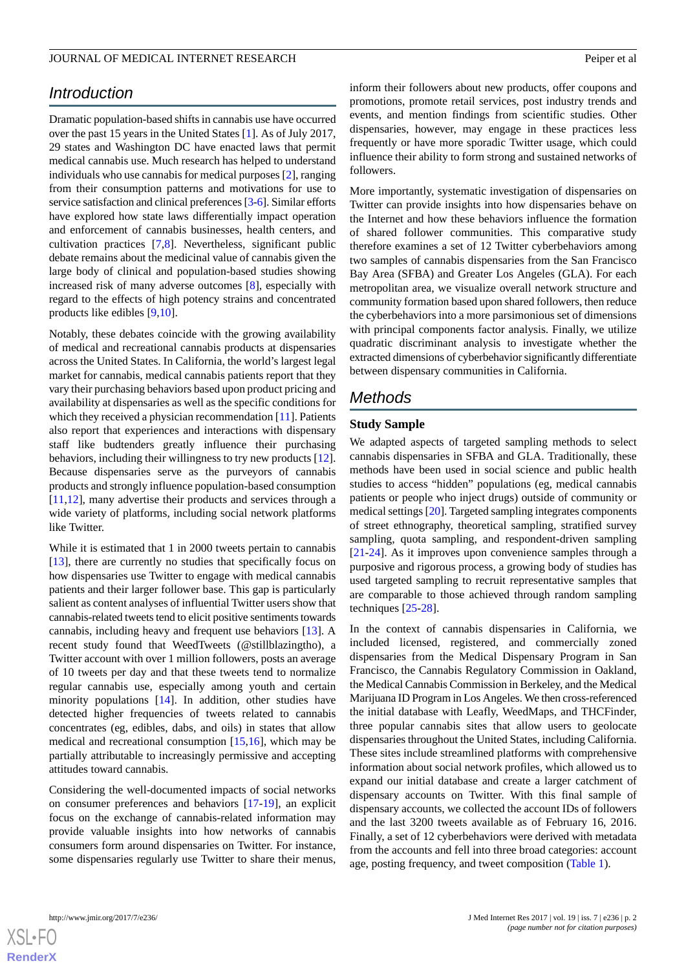# *Introduction*

Dramatic population-based shifts in cannabis use have occurred over the past 15 years in the United States [[1](#page-9-0)]. As of July 2017, 29 states and Washington DC have enacted laws that permit medical cannabis use. Much research has helped to understand individuals who use cannabis for medical purposes [\[2](#page-9-1)], ranging from their consumption patterns and motivations for use to service satisfaction and clinical preferences [\[3](#page-9-2)[-6](#page-10-0)]. Similar efforts have explored how state laws differentially impact operation and enforcement of cannabis businesses, health centers, and cultivation practices [\[7](#page-10-1),[8\]](#page-10-2). Nevertheless, significant public debate remains about the medicinal value of cannabis given the large body of clinical and population-based studies showing increased risk of many adverse outcomes [[8\]](#page-10-2), especially with regard to the effects of high potency strains and concentrated products like edibles [\[9](#page-10-3)[,10](#page-10-4)].

Notably, these debates coincide with the growing availability of medical and recreational cannabis products at dispensaries across the United States. In California, the world's largest legal market for cannabis, medical cannabis patients report that they vary their purchasing behaviors based upon product pricing and availability at dispensaries as well as the specific conditions for which they received a physician recommendation [\[11](#page-10-5)]. Patients also report that experiences and interactions with dispensary staff like budtenders greatly influence their purchasing behaviors, including their willingness to try new products [[12\]](#page-10-6). Because dispensaries serve as the purveyors of cannabis products and strongly influence population-based consumption [[11](#page-10-5)[,12](#page-10-6)], many advertise their products and services through a wide variety of platforms, including social network platforms like Twitter.

While it is estimated that 1 in 2000 tweets pertain to cannabis [[13\]](#page-10-7), there are currently no studies that specifically focus on how dispensaries use Twitter to engage with medical cannabis patients and their larger follower base. This gap is particularly salient as content analyses of influential Twitter users show that cannabis-related tweets tend to elicit positive sentiments towards cannabis, including heavy and frequent use behaviors [[13\]](#page-10-7). A recent study found that WeedTweets (@stillblazingtho), a Twitter account with over 1 million followers, posts an average of 10 tweets per day and that these tweets tend to normalize regular cannabis use, especially among youth and certain minority populations [[14\]](#page-10-8). In addition, other studies have detected higher frequencies of tweets related to cannabis concentrates (eg, edibles, dabs, and oils) in states that allow medical and recreational consumption [\[15](#page-10-9),[16\]](#page-10-10), which may be partially attributable to increasingly permissive and accepting attitudes toward cannabis.

Considering the well-documented impacts of social networks on consumer preferences and behaviors [[17-](#page-10-11)[19](#page-10-12)], an explicit focus on the exchange of cannabis-related information may provide valuable insights into how networks of cannabis consumers form around dispensaries on Twitter. For instance, some dispensaries regularly use Twitter to share their menus,

inform their followers about new products, offer coupons and promotions, promote retail services, post industry trends and events, and mention findings from scientific studies. Other dispensaries, however, may engage in these practices less frequently or have more sporadic Twitter usage, which could influence their ability to form strong and sustained networks of followers.

More importantly, systematic investigation of dispensaries on Twitter can provide insights into how dispensaries behave on the Internet and how these behaviors influence the formation of shared follower communities. This comparative study therefore examines a set of 12 Twitter cyberbehaviors among two samples of cannabis dispensaries from the San Francisco Bay Area (SFBA) and Greater Los Angeles (GLA). For each metropolitan area, we visualize overall network structure and community formation based upon shared followers, then reduce the cyberbehaviors into a more parsimonious set of dimensions with principal components factor analysis. Finally, we utilize quadratic discriminant analysis to investigate whether the extracted dimensions of cyberbehavior significantly differentiate between dispensary communities in California.

# *Methods*

#### **Study Sample**

We adapted aspects of targeted sampling methods to select cannabis dispensaries in SFBA and GLA. Traditionally, these methods have been used in social science and public health studies to access "hidden" populations (eg, medical cannabis patients or people who inject drugs) outside of community or medical settings [\[20](#page-10-13)]. Targeted sampling integrates components of street ethnography, theoretical sampling, stratified survey sampling, quota sampling, and respondent-driven sampling [[21](#page-10-14)[-24](#page-10-15)]. As it improves upon convenience samples through a purposive and rigorous process, a growing body of studies has used targeted sampling to recruit representative samples that are comparable to those achieved through random sampling techniques [\[25](#page-10-16)-[28\]](#page-11-0).

In the context of cannabis dispensaries in California, we included licensed, registered, and commercially zoned dispensaries from the Medical Dispensary Program in San Francisco, the Cannabis Regulatory Commission in Oakland, the Medical Cannabis Commission in Berkeley, and the Medical Marijuana ID Program in Los Angeles. We then cross-referenced the initial database with Leafly, WeedMaps, and THCFinder, three popular cannabis sites that allow users to geolocate dispensaries throughout the United States, including California. These sites include streamlined platforms with comprehensive information about social network profiles, which allowed us to expand our initial database and create a larger catchment of dispensary accounts on Twitter. With this final sample of dispensary accounts, we collected the account IDs of followers and the last 3200 tweets available as of February 16, 2016. Finally, a set of 12 cyberbehaviors were derived with metadata from the accounts and fell into three broad categories: account age, posting frequency, and tweet composition [\(Table 1](#page-2-0)).

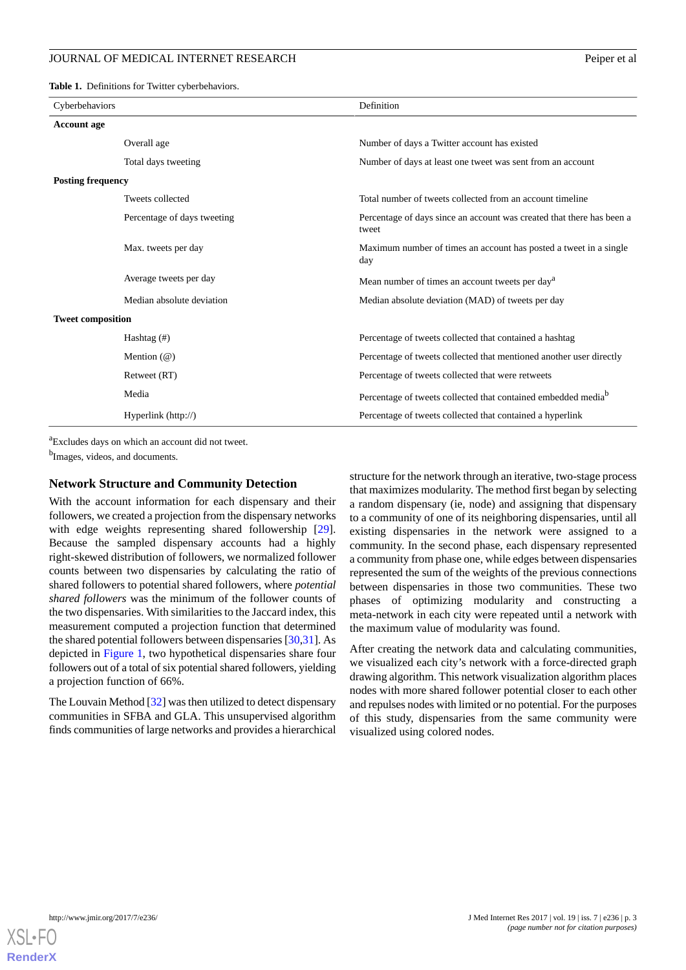<span id="page-2-0"></span>**Table 1.** Definitions for Twitter cyberbehaviors.

| Cyberbehaviors           |                             | Definition                                                                     |
|--------------------------|-----------------------------|--------------------------------------------------------------------------------|
| <b>Account age</b>       |                             |                                                                                |
|                          | Overall age                 | Number of days a Twitter account has existed                                   |
|                          | Total days tweeting         | Number of days at least one tweet was sent from an account                     |
| <b>Posting frequency</b> |                             |                                                                                |
|                          | Tweets collected            | Total number of tweets collected from an account timeline                      |
|                          | Percentage of days tweeting | Percentage of days since an account was created that there has been a<br>tweet |
|                          | Max. tweets per day         | Maximum number of times an account has posted a tweet in a single<br>day       |
|                          | Average tweets per day      | Mean number of times an account tweets per day <sup>a</sup>                    |
|                          | Median absolute deviation   | Median absolute deviation (MAD) of tweets per day                              |
| <b>Tweet composition</b> |                             |                                                                                |
|                          | Hashtag $(\#)$              | Percentage of tweets collected that contained a hashtag                        |
|                          | Mention $(\mathcal{Q})$     | Percentage of tweets collected that mentioned another user directly            |
|                          | Retweet (RT)                | Percentage of tweets collected that were retweets                              |
|                          | Media                       | Percentage of tweets collected that contained embedded media <sup>b</sup>      |
|                          | Hyperlink (http://)         | Percentage of tweets collected that contained a hyperlink                      |

<sup>a</sup>Excludes days on which an account did not tweet.

<sup>b</sup>Images, videos, and documents.

#### **Network Structure and Community Detection**

With the account information for each dispensary and their followers, we created a projection from the dispensary networks with edge weights representing shared followership [[29\]](#page-11-1). Because the sampled dispensary accounts had a highly right-skewed distribution of followers, we normalized follower counts between two dispensaries by calculating the ratio of shared followers to potential shared followers, where *potential shared followers* was the minimum of the follower counts of the two dispensaries. With similarities to the Jaccard index, this measurement computed a projection function that determined the shared potential followers between dispensaries [\[30](#page-11-2),[31\]](#page-11-3). As depicted in [Figure 1,](#page-3-0) two hypothetical dispensaries share four followers out of a total of six potential shared followers, yielding a projection function of 66%.

The Louvain Method [[32\]](#page-11-4) was then utilized to detect dispensary communities in SFBA and GLA. This unsupervised algorithm finds communities of large networks and provides a hierarchical structure for the network through an iterative, two-stage process that maximizes modularity. The method first began by selecting a random dispensary (ie, node) and assigning that dispensary to a community of one of its neighboring dispensaries, until all existing dispensaries in the network were assigned to a community. In the second phase, each dispensary represented a community from phase one, while edges between dispensaries represented the sum of the weights of the previous connections between dispensaries in those two communities. These two phases of optimizing modularity and constructing a meta-network in each city were repeated until a network with the maximum value of modularity was found.

After creating the network data and calculating communities, we visualized each city's network with a force-directed graph drawing algorithm. This network visualization algorithm places nodes with more shared follower potential closer to each other and repulses nodes with limited or no potential. For the purposes of this study, dispensaries from the same community were visualized using colored nodes.

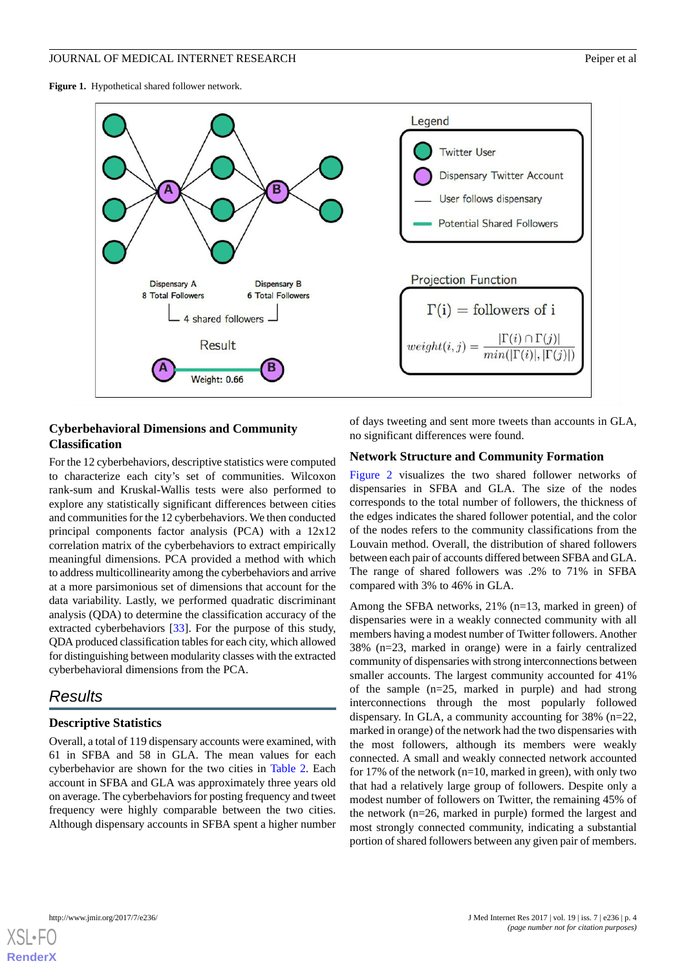<span id="page-3-0"></span>**Figure 1.** Hypothetical shared follower network.



#### **Cyberbehavioral Dimensions and Community Classification**

For the 12 cyberbehaviors, descriptive statistics were computed to characterize each city's set of communities. Wilcoxon rank-sum and Kruskal-Wallis tests were also performed to explore any statistically significant differences between cities and communities for the 12 cyberbehaviors. We then conducted principal components factor analysis (PCA) with a 12x12 correlation matrix of the cyberbehaviors to extract empirically meaningful dimensions. PCA provided a method with which to address multicollinearity among the cyberbehaviors and arrive at a more parsimonious set of dimensions that account for the data variability. Lastly, we performed quadratic discriminant analysis (QDA) to determine the classification accuracy of the extracted cyberbehaviors [\[33](#page-11-5)]. For the purpose of this study, QDA produced classification tables for each city, which allowed for distinguishing between modularity classes with the extracted cyberbehavioral dimensions from the PCA.

# *Results*

#### **Descriptive Statistics**

Overall, a total of 119 dispensary accounts were examined, with 61 in SFBA and 58 in GLA. The mean values for each cyberbehavior are shown for the two cities in [Table 2](#page-4-0). Each account in SFBA and GLA was approximately three years old on average. The cyberbehaviors for posting frequency and tweet frequency were highly comparable between the two cities. Although dispensary accounts in SFBA spent a higher number

of days tweeting and sent more tweets than accounts in GLA, no significant differences were found.

#### **Network Structure and Community Formation**

[Figure 2](#page-5-0) visualizes the two shared follower networks of dispensaries in SFBA and GLA. The size of the nodes corresponds to the total number of followers, the thickness of the edges indicates the shared follower potential, and the color of the nodes refers to the community classifications from the Louvain method. Overall, the distribution of shared followers between each pair of accounts differed between SFBA and GLA. The range of shared followers was .2% to 71% in SFBA compared with 3% to 46% in GLA.

Among the SFBA networks, 21% (n=13, marked in green) of dispensaries were in a weakly connected community with all members having a modest number of Twitter followers. Another 38% (n=23, marked in orange) were in a fairly centralized community of dispensaries with strong interconnections between smaller accounts. The largest community accounted for 41% of the sample (n=25, marked in purple) and had strong interconnections through the most popularly followed dispensary. In GLA, a community accounting for 38% (n=22, marked in orange) of the network had the two dispensaries with the most followers, although its members were weakly connected. A small and weakly connected network accounted for 17% of the network ( $n=10$ , marked in green), with only two that had a relatively large group of followers. Despite only a modest number of followers on Twitter, the remaining 45% of the network (n=26, marked in purple) formed the largest and most strongly connected community, indicating a substantial portion of shared followers between any given pair of members.

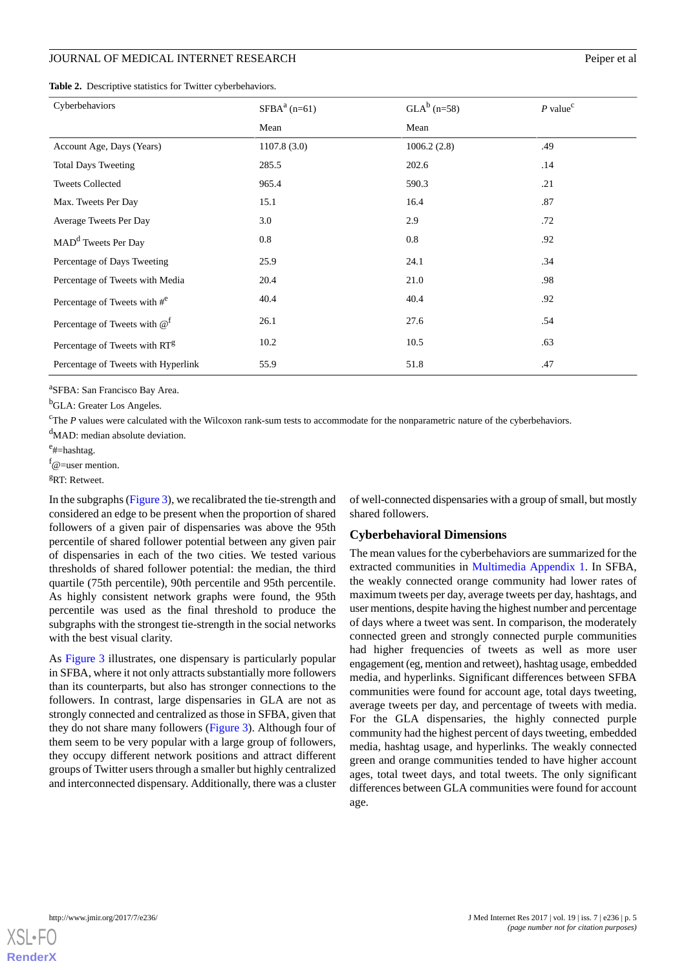<span id="page-4-0"></span>

|  |  |  |  | Table 2. Descriptive statistics for Twitter cyberbehaviors. |  |
|--|--|--|--|-------------------------------------------------------------|--|
|--|--|--|--|-------------------------------------------------------------|--|

| Cyberbehaviors                             | $SFBAa$ (n=61) | $GLA^b$ (n=58) | $P$ value <sup>c</sup> |
|--------------------------------------------|----------------|----------------|------------------------|
|                                            | Mean           | Mean           |                        |
| Account Age, Days (Years)                  | 1107.8(3.0)    | 1006.2(2.8)    | .49                    |
| <b>Total Days Tweeting</b>                 | 285.5          | 202.6          | .14                    |
| <b>Tweets Collected</b>                    | 965.4          | 590.3          | .21                    |
| Max. Tweets Per Day                        | 15.1           | 16.4           | .87                    |
| Average Tweets Per Day                     | 3.0            | 2.9            | .72                    |
| MAD <sup>d</sup> Tweets Per Day            | 0.8            | 0.8            | .92                    |
| Percentage of Days Tweeting                | 25.9           | 24.1           | .34                    |
| Percentage of Tweets with Media            | 20.4           | 21.0           | .98                    |
| Percentage of Tweets with $#^e$            | 40.4           | 40.4           | .92                    |
| Percentage of Tweets with $@$ <sup>f</sup> | 26.1           | 27.6           | .54                    |
| Percentage of Tweets with RT <sup>g</sup>  | 10.2           | 10.5           | .63                    |
| Percentage of Tweets with Hyperlink        | 55.9           | 51.8           | .47                    |

a SFBA: San Francisco Bay Area.

<sup>b</sup>GLA: Greater Los Angeles.

<sup>c</sup>The *P* values were calculated with the Wilcoxon rank-sum tests to accommodate for the nonparametric nature of the cyberbehaviors.

<sup>d</sup>MAD: median absolute deviation.

<sup>e</sup>#=hashtag.

 $f$ @=user mention.

<sup>g</sup>RT: Retweet.

In the subgraphs [\(Figure 3\)](#page-5-1), we recalibrated the tie-strength and considered an edge to be present when the proportion of shared followers of a given pair of dispensaries was above the 95th percentile of shared follower potential between any given pair of dispensaries in each of the two cities. We tested various thresholds of shared follower potential: the median, the third quartile (75th percentile), 90th percentile and 95th percentile. As highly consistent network graphs were found, the 95th percentile was used as the final threshold to produce the subgraphs with the strongest tie-strength in the social networks with the best visual clarity.

As [Figure 3](#page-5-1) illustrates, one dispensary is particularly popular in SFBA, where it not only attracts substantially more followers than its counterparts, but also has stronger connections to the followers. In contrast, large dispensaries in GLA are not as strongly connected and centralized as those in SFBA, given that they do not share many followers ([Figure 3](#page-5-1)). Although four of them seem to be very popular with a large group of followers, they occupy different network positions and attract different groups of Twitter users through a smaller but highly centralized and interconnected dispensary. Additionally, there was a cluster

of well-connected dispensaries with a group of small, but mostly shared followers.

#### **Cyberbehavioral Dimensions**

The mean values for the cyberbehaviors are summarized for the extracted communities in [Multimedia Appendix 1.](#page-9-3) In SFBA, the weakly connected orange community had lower rates of maximum tweets per day, average tweets per day, hashtags, and user mentions, despite having the highest number and percentage of days where a tweet was sent. In comparison, the moderately connected green and strongly connected purple communities had higher frequencies of tweets as well as more user engagement (eg, mention and retweet), hashtag usage, embedded media, and hyperlinks. Significant differences between SFBA communities were found for account age, total days tweeting, average tweets per day, and percentage of tweets with media. For the GLA dispensaries, the highly connected purple community had the highest percent of days tweeting, embedded media, hashtag usage, and hyperlinks. The weakly connected green and orange communities tended to have higher account ages, total tweet days, and total tweets. The only significant differences between GLA communities were found for account age.

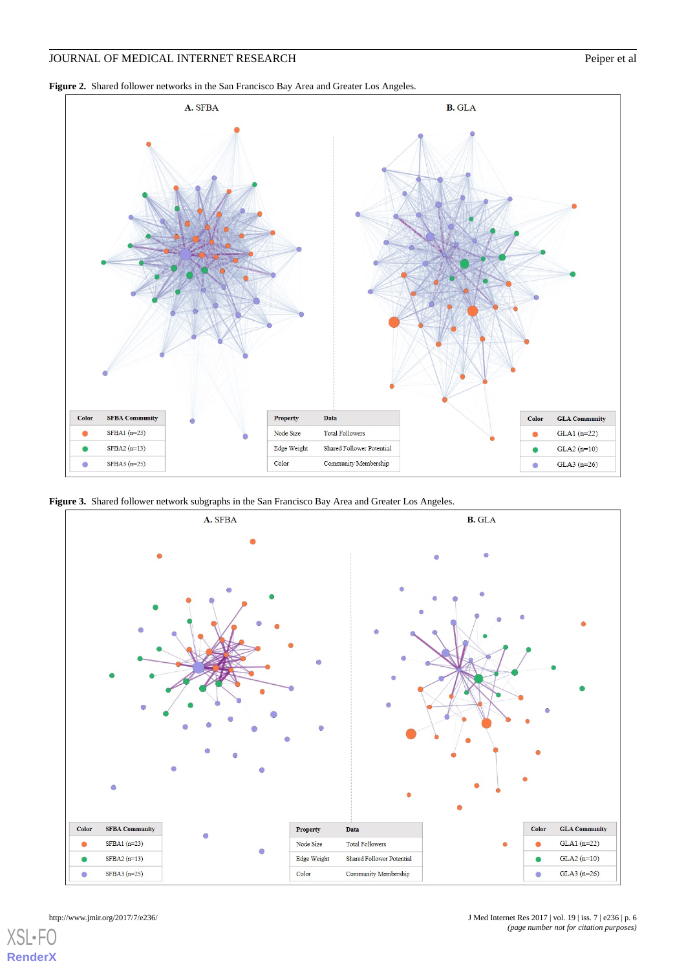<span id="page-5-0"></span>**Figure 2.** Shared follower networks in the San Francisco Bay Area and Greater Los Angeles.



<span id="page-5-1"></span>**Figure 3.** Shared follower network subgraphs in the San Francisco Bay Area and Greater Los Angeles.



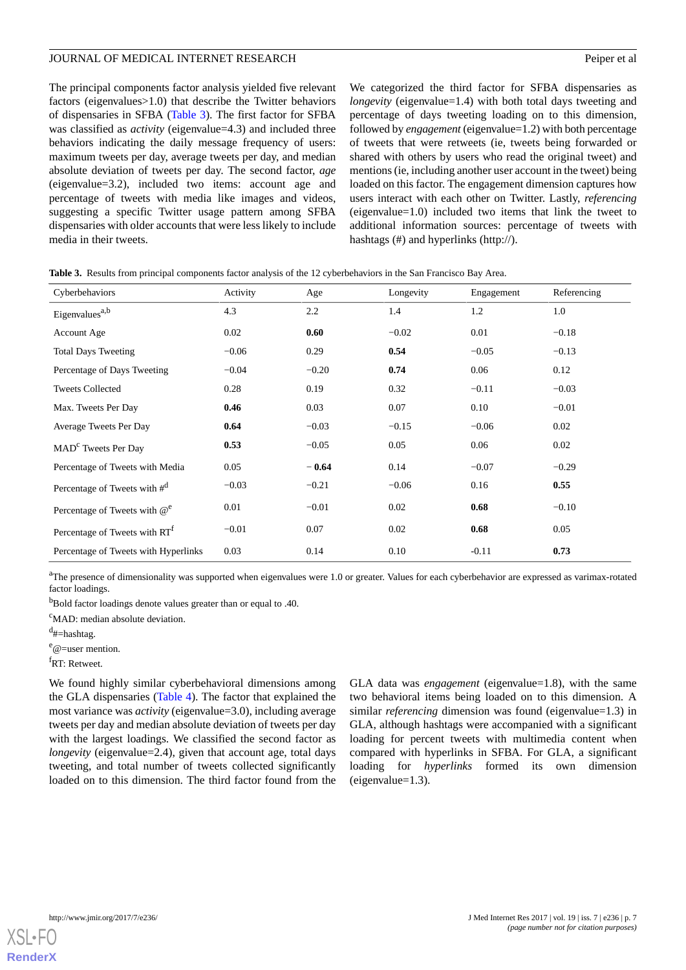The principal components factor analysis yielded five relevant factors (eigenvalues>1.0) that describe the Twitter behaviors of dispensaries in SFBA [\(Table 3\)](#page-6-0). The first factor for SFBA was classified as *activity* (eigenvalue=4.3) and included three behaviors indicating the daily message frequency of users: maximum tweets per day, average tweets per day, and median absolute deviation of tweets per day. The second factor, *age* (eigenvalue=3.2), included two items: account age and percentage of tweets with media like images and videos, suggesting a specific Twitter usage pattern among SFBA dispensaries with older accounts that were less likely to include media in their tweets.

We categorized the third factor for SFBA dispensaries as *longevity* (eigenvalue=1.4) with both total days tweeting and percentage of days tweeting loading on to this dimension, followed by *engagement* (eigenvalue=1.2) with both percentage of tweets that were retweets (ie, tweets being forwarded or shared with others by users who read the original tweet) and mentions (ie, including another user account in the tweet) being loaded on this factor. The engagement dimension captures how users interact with each other on Twitter. Lastly, *referencing* (eigenvalue=1.0) included two items that link the tweet to additional information sources: percentage of tweets with hashtags (#) and hyperlinks (http://).

| Cyberbehaviors                            | Activity | Age     | Longevity | Engagement | Referencing |
|-------------------------------------------|----------|---------|-----------|------------|-------------|
| Eigenvalues <sup>a,b</sup>                | 4.3      | 2.2     | 1.4       | 1.2        | 1.0         |
| Account Age                               | 0.02     | 0.60    | $-0.02$   | 0.01       | $-0.18$     |
| <b>Total Days Tweeting</b>                | $-0.06$  | 0.29    | 0.54      | $-0.05$    | $-0.13$     |
| Percentage of Days Tweeting               | $-0.04$  | $-0.20$ | 0.74      | 0.06       | 0.12        |
| <b>Tweets Collected</b>                   | 0.28     | 0.19    | 0.32      | $-0.11$    | $-0.03$     |
| Max. Tweets Per Day                       | 0.46     | 0.03    | 0.07      | 0.10       | $-0.01$     |
| Average Tweets Per Day                    | 0.64     | $-0.03$ | $-0.15$   | $-0.06$    | 0.02        |
| MAD <sup>c</sup> Tweets Per Day           | 0.53     | $-0.05$ | 0.05      | 0.06       | 0.02        |
| Percentage of Tweets with Media           | 0.05     | $-0.64$ | 0.14      | $-0.07$    | $-0.29$     |
| Percentage of Tweets with $\#^d$          | $-0.03$  | $-0.21$ | $-0.06$   | 0.16       | 0.55        |
| Percentage of Tweets with $@^e$           | 0.01     | $-0.01$ | 0.02      | 0.68       | $-0.10$     |
| Percentage of Tweets with RT <sup>f</sup> | $-0.01$  | 0.07    | 0.02      | 0.68       | 0.05        |
| Percentage of Tweets with Hyperlinks      | 0.03     | 0.14    | 0.10      | $-0.11$    | 0.73        |

<span id="page-6-0"></span>**Table 3.** Results from principal components factor analysis of the 12 cyberbehaviors in the San Francisco Bay Area.

<sup>a</sup>The presence of dimensionality was supported when eigenvalues were 1.0 or greater. Values for each cyberbehavior are expressed as varimax-rotated factor loadings.

<sup>b</sup>Bold factor loadings denote values greater than or equal to .40.

<sup>c</sup>MAD: median absolute deviation.

<sup>d</sup>#=hashtag.

 $e_{\textcircled{e}-user}$  mention.

<sup>f</sup>RT: Retweet.

We found highly similar cyberbehavioral dimensions among the GLA dispensaries [\(Table 4](#page-7-0)). The factor that explained the most variance was *activity* (eigenvalue=3.0), including average tweets per day and median absolute deviation of tweets per day with the largest loadings. We classified the second factor as *longevity* (eigenvalue=2.4), given that account age, total days tweeting, and total number of tweets collected significantly loaded on to this dimension. The third factor found from the GLA data was *engagement* (eigenvalue=1.8), with the same two behavioral items being loaded on to this dimension. A similar *referencing* dimension was found (eigenvalue=1.3) in GLA, although hashtags were accompanied with a significant loading for percent tweets with multimedia content when compared with hyperlinks in SFBA. For GLA, a significant loading for *hyperlinks* formed its own dimension (eigenvalue=1.3).

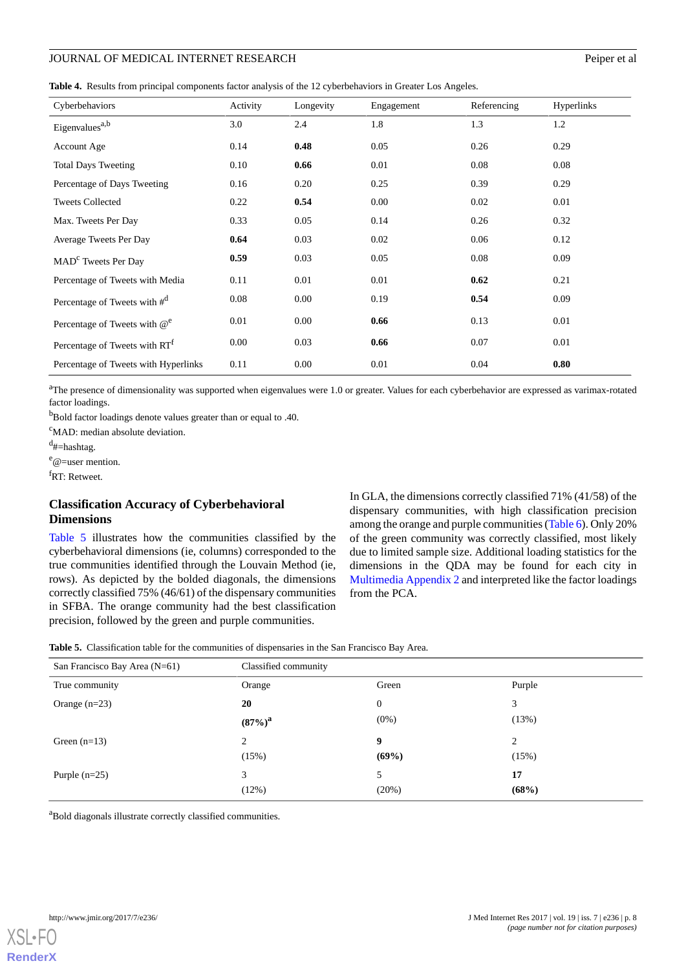<span id="page-7-0"></span>**Table 4.** Results from principal components factor analysis of the 12 cyberbehaviors in Greater Los Angeles.

| Cyberbehaviors                            | Activity | Longevity | Engagement | Referencing | Hyperlinks |
|-------------------------------------------|----------|-----------|------------|-------------|------------|
| Eigenvalues <sup>a,b</sup>                | 3.0      | 2.4       | 1.8        | 1.3         | 1.2        |
| Account Age                               | 0.14     | 0.48      | 0.05       | 0.26        | 0.29       |
| <b>Total Days Tweeting</b>                | 0.10     | 0.66      | 0.01       | 0.08        | 0.08       |
| Percentage of Days Tweeting               | 0.16     | 0.20      | 0.25       | 0.39        | 0.29       |
| <b>Tweets Collected</b>                   | 0.22     | 0.54      | 0.00       | 0.02        | 0.01       |
| Max. Tweets Per Day                       | 0.33     | 0.05      | 0.14       | 0.26        | 0.32       |
| Average Tweets Per Day                    | 0.64     | 0.03      | 0.02       | 0.06        | 0.12       |
| MAD <sup>c</sup> Tweets Per Day           | 0.59     | 0.03      | 0.05       | 0.08        | 0.09       |
| Percentage of Tweets with Media           | 0.11     | 0.01      | 0.01       | 0.62        | 0.21       |
| Percentage of Tweets with $\#^d$          | 0.08     | $0.00\,$  | 0.19       | 0.54        | 0.09       |
| Percentage of Tweets with $\omega^e$      | 0.01     | $0.00\,$  | 0.66       | 0.13        | 0.01       |
| Percentage of Tweets with RT <sup>f</sup> | 0.00     | 0.03      | 0.66       | 0.07        | 0.01       |
| Percentage of Tweets with Hyperlinks      | 0.11     | 0.00      | 0.01       | 0.04        | 0.80       |

<sup>a</sup>The presence of dimensionality was supported when eigenvalues were 1.0 or greater. Values for each cyberbehavior are expressed as varimax-rotated factor loadings.

<sup>b</sup>Bold factor loadings denote values greater than or equal to .40.

<sup>c</sup>MAD: median absolute deviation.

<sup>d</sup>#=hashtag.

 $e_{\text{}}$ e=user mention.

<sup>f</sup>RT: Retweet.

#### **Classification Accuracy of Cyberbehavioral Dimensions**

<span id="page-7-1"></span>[Table 5](#page-7-1) illustrates how the communities classified by the cyberbehavioral dimensions (ie, columns) corresponded to the true communities identified through the Louvain Method (ie, rows). As depicted by the bolded diagonals, the dimensions correctly classified 75% (46/61) of the dispensary communities in SFBA. The orange community had the best classification precision, followed by the green and purple communities.

In GLA, the dimensions correctly classified 71% (41/58) of the dispensary communities, with high classification precision among the orange and purple communities [\(Table 6\)](#page-8-0). Only 20% of the green community was correctly classified, most likely due to limited sample size. Additional loading statistics for the dimensions in the QDA may be found for each city in [Multimedia Appendix 2](#page-9-4) and interpreted like the factor loadings from the PCA.

|  |  | <b>Table 5.</b> Classification table for the communities of dispensaries in the San Francisco Bay Area. |  |  |  |
|--|--|---------------------------------------------------------------------------------------------------------|--|--|--|
|--|--|---------------------------------------------------------------------------------------------------------|--|--|--|

| San Francisco Bay Area (N=61) | Classified community |              |        |
|-------------------------------|----------------------|--------------|--------|
| True community                | Orange               | Green        | Purple |
| Orange $(n=23)$               | 20                   | $\mathbf{0}$ | 3      |
|                               | $(87\%)^a$           | $(0\%)$      | (13%)  |
| Green $(n=13)$                | $\overline{2}$       | 9            | 2      |
|                               | (15%)                | (69%)        | (15%)  |
| Purple $(n=25)$               | 3                    | 5            | 17     |
|                               | (12%)                | (20%)        | (68%)  |

<sup>a</sup>Bold diagonals illustrate correctly classified communities.

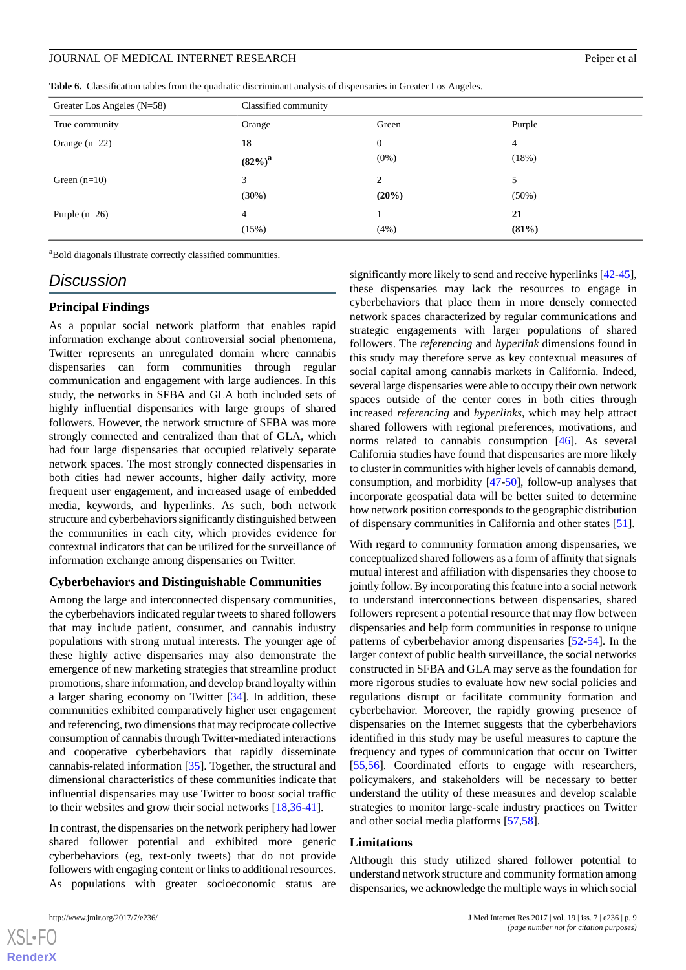<span id="page-8-0"></span>**Table 6.** Classification tables from the quadratic discriminant analysis of dispensaries in Greater Los Angeles.

| Greater Los Angeles $(N=58)$ | Classified community |                |          |
|------------------------------|----------------------|----------------|----------|
| True community               | Orange               | Green          | Purple   |
| Orange $(n=22)$              | 18                   | $\overline{0}$ | 4        |
|                              | $(82\%)^a$           | $(0\%)$        | (18%)    |
| Green $(n=10)$               | 3                    | 2              | 5        |
|                              | (30%)                | $(20\%)$       | $(50\%)$ |
| Purple $(n=26)$              | $\overline{4}$       |                | 21       |
|                              | (15%)                | (4%)           | (81%)    |

<sup>a</sup>Bold diagonals illustrate correctly classified communities.

#### *Discussion*

#### **Principal Findings**

As a popular social network platform that enables rapid information exchange about controversial social phenomena, Twitter represents an unregulated domain where cannabis dispensaries can form communities through regular communication and engagement with large audiences. In this study, the networks in SFBA and GLA both included sets of highly influential dispensaries with large groups of shared followers. However, the network structure of SFBA was more strongly connected and centralized than that of GLA, which had four large dispensaries that occupied relatively separate network spaces. The most strongly connected dispensaries in both cities had newer accounts, higher daily activity, more frequent user engagement, and increased usage of embedded media, keywords, and hyperlinks. As such, both network structure and cyberbehaviors significantly distinguished between the communities in each city, which provides evidence for contextual indicators that can be utilized for the surveillance of information exchange among dispensaries on Twitter.

#### **Cyberbehaviors and Distinguishable Communities**

Among the large and interconnected dispensary communities, the cyberbehaviors indicated regular tweets to shared followers that may include patient, consumer, and cannabis industry populations with strong mutual interests. The younger age of these highly active dispensaries may also demonstrate the emergence of new marketing strategies that streamline product promotions, share information, and develop brand loyalty within a larger sharing economy on Twitter [\[34](#page-11-6)]. In addition, these communities exhibited comparatively higher user engagement and referencing, two dimensions that may reciprocate collective consumption of cannabis through Twitter-mediated interactions and cooperative cyberbehaviors that rapidly disseminate cannabis-related information [[35\]](#page-11-7). Together, the structural and dimensional characteristics of these communities indicate that influential dispensaries may use Twitter to boost social traffic to their websites and grow their social networks [\[18](#page-10-17),[36](#page-11-8)[-41](#page-11-9)].

In contrast, the dispensaries on the network periphery had lower shared follower potential and exhibited more generic cyberbehaviors (eg, text-only tweets) that do not provide followers with engaging content or links to additional resources. As populations with greater socioeconomic status are

[XSL](http://www.w3.org/Style/XSL)•FO **[RenderX](http://www.renderx.com/)**

significantly more likely to send and receive hyperlinks [\[42](#page-11-10)[-45](#page-11-11)], these dispensaries may lack the resources to engage in cyberbehaviors that place them in more densely connected network spaces characterized by regular communications and strategic engagements with larger populations of shared followers. The *referencing* and *hyperlink* dimensions found in this study may therefore serve as key contextual measures of social capital among cannabis markets in California. Indeed, several large dispensaries were able to occupy their own network spaces outside of the center cores in both cities through increased *referencing* and *hyperlinks*, which may help attract shared followers with regional preferences, motivations, and norms related to cannabis consumption [\[46](#page-11-12)]. As several California studies have found that dispensaries are more likely to cluster in communities with higher levels of cannabis demand, consumption, and morbidity [\[47](#page-11-13)-[50\]](#page-11-14), follow-up analyses that incorporate geospatial data will be better suited to determine how network position corresponds to the geographic distribution of dispensary communities in California and other states [\[51](#page-11-15)].

With regard to community formation among dispensaries, we conceptualized shared followers as a form of affinity that signals mutual interest and affiliation with dispensaries they choose to jointly follow. By incorporating this feature into a social network to understand interconnections between dispensaries, shared followers represent a potential resource that may flow between dispensaries and help form communities in response to unique patterns of cyberbehavior among dispensaries [\[52](#page-12-0)-[54\]](#page-12-1). In the larger context of public health surveillance, the social networks constructed in SFBA and GLA may serve as the foundation for more rigorous studies to evaluate how new social policies and regulations disrupt or facilitate community formation and cyberbehavior. Moreover, the rapidly growing presence of dispensaries on the Internet suggests that the cyberbehaviors identified in this study may be useful measures to capture the frequency and types of communication that occur on Twitter [[55,](#page-12-2)[56\]](#page-12-3). Coordinated efforts to engage with researchers, policymakers, and stakeholders will be necessary to better understand the utility of these measures and develop scalable strategies to monitor large-scale industry practices on Twitter and other social media platforms [[57,](#page-12-4)[58](#page-12-5)].

#### **Limitations**

Although this study utilized shared follower potential to understand network structure and community formation among dispensaries, we acknowledge the multiple ways in which social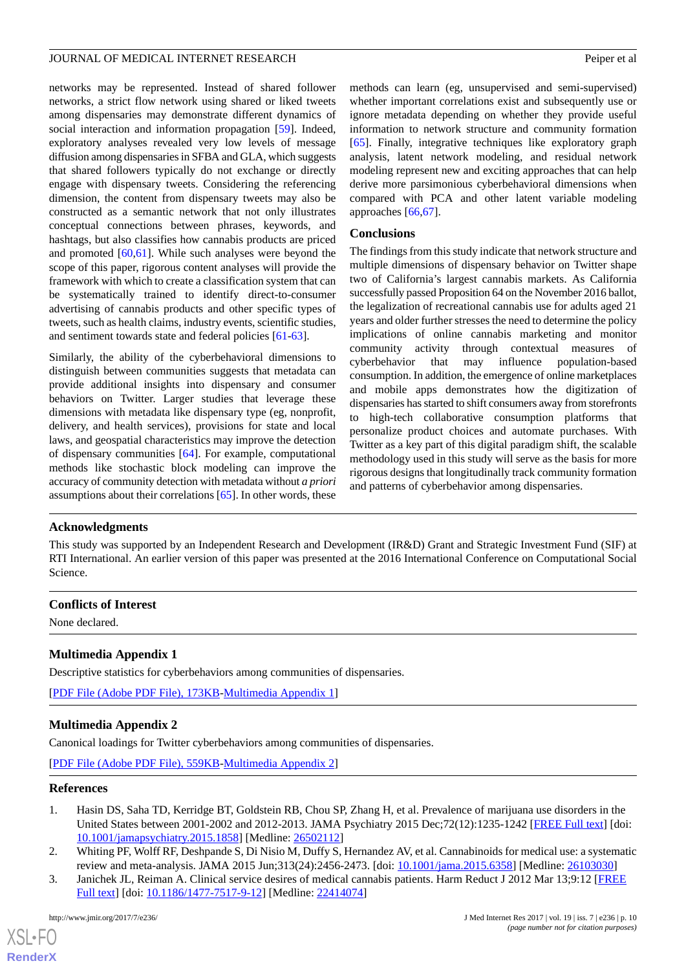networks may be represented. Instead of shared follower networks, a strict flow network using shared or liked tweets among dispensaries may demonstrate different dynamics of social interaction and information propagation [[59\]](#page-12-6). Indeed, exploratory analyses revealed very low levels of message diffusion among dispensaries in SFBA and GLA, which suggests that shared followers typically do not exchange or directly engage with dispensary tweets. Considering the referencing dimension, the content from dispensary tweets may also be constructed as a semantic network that not only illustrates conceptual connections between phrases, keywords, and hashtags, but also classifies how cannabis products are priced and promoted [\[60](#page-12-7),[61\]](#page-12-8). While such analyses were beyond the scope of this paper, rigorous content analyses will provide the framework with which to create a classification system that can be systematically trained to identify direct-to-consumer advertising of cannabis products and other specific types of tweets, such as health claims, industry events, scientific studies, and sentiment towards state and federal policies [[61-](#page-12-8)[63\]](#page-12-9).

Similarly, the ability of the cyberbehavioral dimensions to distinguish between communities suggests that metadata can provide additional insights into dispensary and consumer behaviors on Twitter. Larger studies that leverage these dimensions with metadata like dispensary type (eg, nonprofit, delivery, and health services), provisions for state and local laws, and geospatial characteristics may improve the detection of dispensary communities [[64\]](#page-12-10). For example, computational methods like stochastic block modeling can improve the accuracy of community detection with metadata without *a priori* assumptions about their correlations [\[65](#page-12-11)]. In other words, these methods can learn (eg, unsupervised and semi-supervised) whether important correlations exist and subsequently use or ignore metadata depending on whether they provide useful information to network structure and community formation [[65\]](#page-12-11). Finally, integrative techniques like exploratory graph analysis, latent network modeling, and residual network modeling represent new and exciting approaches that can help derive more parsimonious cyberbehavioral dimensions when compared with PCA and other latent variable modeling approaches [\[66](#page-12-12),[67\]](#page-12-13).

#### **Conclusions**

The findings from this study indicate that network structure and multiple dimensions of dispensary behavior on Twitter shape two of California's largest cannabis markets. As California successfully passed Proposition 64 on the November 2016 ballot, the legalization of recreational cannabis use for adults aged 21 years and older further stresses the need to determine the policy implications of online cannabis marketing and monitor community activity through contextual measures of cyberbehavior that may influence population-based consumption. In addition, the emergence of online marketplaces and mobile apps demonstrates how the digitization of dispensaries has started to shift consumers away from storefronts to high-tech collaborative consumption platforms that personalize product choices and automate purchases. With Twitter as a key part of this digital paradigm shift, the scalable methodology used in this study will serve as the basis for more rigorous designs that longitudinally track community formation and patterns of cyberbehavior among dispensaries.

#### **Acknowledgments**

This study was supported by an Independent Research and Development (IR&D) Grant and Strategic Investment Fund (SIF) at RTI International. An earlier version of this paper was presented at the 2016 International Conference on Computational Social Science.

#### <span id="page-9-3"></span>**Conflicts of Interest**

None declared.

# <span id="page-9-4"></span>**Multimedia Appendix 1**

Descriptive statistics for cyberbehaviors among communities of dispensaries.

[[PDF File \(Adobe PDF File\), 173KB-Multimedia Appendix 1](https://jmir.org/api/download?alt_name=jmir_v19i7e236_app1.pdf&filename=6598e6d05a0a62c5c041c082f6b703e2.pdf)]

#### <span id="page-9-0"></span>**Multimedia Appendix 2**

Canonical loadings for Twitter cyberbehaviors among communities of dispensaries.

<span id="page-9-1"></span>[[PDF File \(Adobe PDF File\), 559KB-Multimedia Appendix 2](https://jmir.org/api/download?alt_name=jmir_v19i7e236_app2.pdf&filename=6b967346c195635a1e69cd98323ac50f.pdf)]

#### <span id="page-9-2"></span>**References**

- 1. Hasin DS, Saha TD, Kerridge BT, Goldstein RB, Chou SP, Zhang H, et al. Prevalence of marijuana use disorders in the United States between 2001-2002 and 2012-2013. JAMA Psychiatry 2015 Dec;72(12):1235-1242 [\[FREE Full text\]](http://europepmc.org/abstract/MED/26502112) [doi: [10.1001/jamapsychiatry.2015.1858](http://dx.doi.org/10.1001/jamapsychiatry.2015.1858)] [Medline: [26502112](http://www.ncbi.nlm.nih.gov/entrez/query.fcgi?cmd=Retrieve&db=PubMed&list_uids=26502112&dopt=Abstract)]
- 2. Whiting PF, Wolff RF, Deshpande S, Di Nisio M, Duffy S, Hernandez AV, et al. Cannabinoids for medical use: a systematic review and meta-analysis. JAMA 2015 Jun;313(24):2456-2473. [doi: [10.1001/jama.2015.6358\]](http://dx.doi.org/10.1001/jama.2015.6358) [Medline: [26103030\]](http://www.ncbi.nlm.nih.gov/entrez/query.fcgi?cmd=Retrieve&db=PubMed&list_uids=26103030&dopt=Abstract)
- 3. Janichek JL, Reiman A. Clinical service desires of medical cannabis patients. Harm Reduct J 2012 Mar 13;9:12 [\[FREE](https://harmreductionjournal.biomedcentral.com/articles/10.1186/1477-7517-9-12) [Full text\]](https://harmreductionjournal.biomedcentral.com/articles/10.1186/1477-7517-9-12) [doi: [10.1186/1477-7517-9-12\]](http://dx.doi.org/10.1186/1477-7517-9-12) [Medline: [22414074](http://www.ncbi.nlm.nih.gov/entrez/query.fcgi?cmd=Retrieve&db=PubMed&list_uids=22414074&dopt=Abstract)]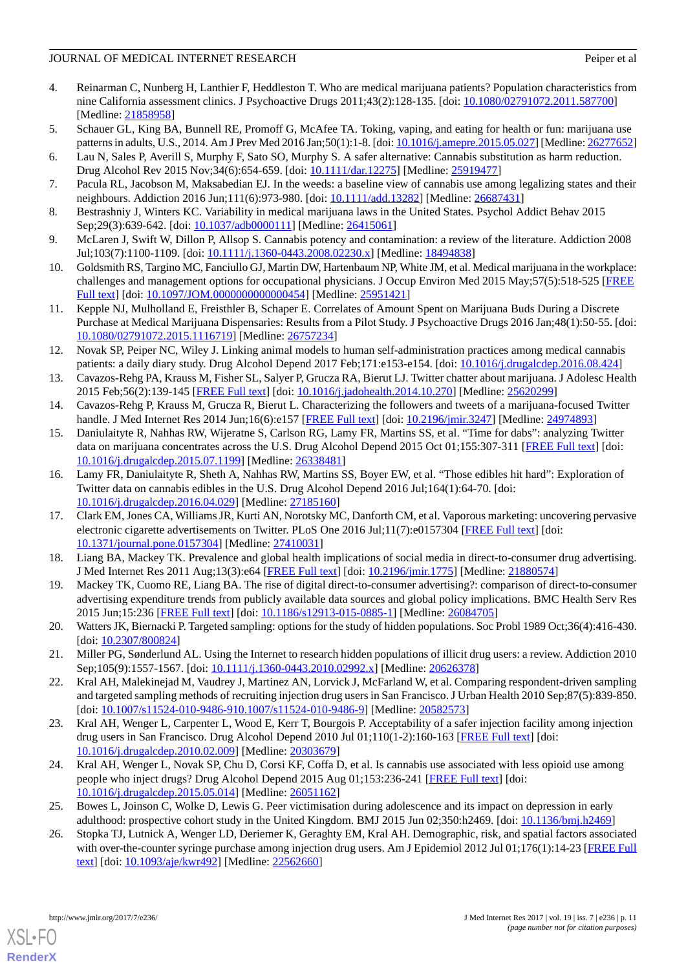- 4. Reinarman C, Nunberg H, Lanthier F, Heddleston T. Who are medical marijuana patients? Population characteristics from nine California assessment clinics. J Psychoactive Drugs 2011;43(2):128-135. [doi: [10.1080/02791072.2011.587700\]](http://dx.doi.org/10.1080/02791072.2011.587700) [Medline: [21858958](http://www.ncbi.nlm.nih.gov/entrez/query.fcgi?cmd=Retrieve&db=PubMed&list_uids=21858958&dopt=Abstract)]
- 5. Schauer GL, King BA, Bunnell RE, Promoff G, McAfee TA. Toking, vaping, and eating for health or fun: marijuana use patterns in adults, U.S., 2014. Am J Prev Med 2016 Jan;50(1):1-8. [doi: [10.1016/j.amepre.2015.05.027](http://dx.doi.org/10.1016/j.amepre.2015.05.027)] [Medline: [26277652\]](http://www.ncbi.nlm.nih.gov/entrez/query.fcgi?cmd=Retrieve&db=PubMed&list_uids=26277652&dopt=Abstract)
- <span id="page-10-1"></span><span id="page-10-0"></span>6. Lau N, Sales P, Averill S, Murphy F, Sato SO, Murphy S. A safer alternative: Cannabis substitution as harm reduction. Drug Alcohol Rev 2015 Nov;34(6):654-659. [doi: [10.1111/dar.12275](http://dx.doi.org/10.1111/dar.12275)] [Medline: [25919477\]](http://www.ncbi.nlm.nih.gov/entrez/query.fcgi?cmd=Retrieve&db=PubMed&list_uids=25919477&dopt=Abstract)
- <span id="page-10-2"></span>7. Pacula RL, Jacobson M, Maksabedian EJ. In the weeds: a baseline view of cannabis use among legalizing states and their neighbours. Addiction 2016 Jun;111(6):973-980. [doi: [10.1111/add.13282](http://dx.doi.org/10.1111/add.13282)] [Medline: [26687431\]](http://www.ncbi.nlm.nih.gov/entrez/query.fcgi?cmd=Retrieve&db=PubMed&list_uids=26687431&dopt=Abstract)
- <span id="page-10-3"></span>8. Bestrashniy J, Winters KC. Variability in medical marijuana laws in the United States. Psychol Addict Behav 2015 Sep;29(3):639-642. [doi: [10.1037/adb0000111](http://dx.doi.org/10.1037/adb0000111)] [Medline: [26415061\]](http://www.ncbi.nlm.nih.gov/entrez/query.fcgi?cmd=Retrieve&db=PubMed&list_uids=26415061&dopt=Abstract)
- <span id="page-10-4"></span>9. McLaren J, Swift W, Dillon P, Allsop S. Cannabis potency and contamination: a review of the literature. Addiction 2008 Jul;103(7):1100-1109. [doi: [10.1111/j.1360-0443.2008.02230.x\]](http://dx.doi.org/10.1111/j.1360-0443.2008.02230.x) [Medline: [18494838](http://www.ncbi.nlm.nih.gov/entrez/query.fcgi?cmd=Retrieve&db=PubMed&list_uids=18494838&dopt=Abstract)]
- <span id="page-10-5"></span>10. Goldsmith RS, Targino MC, Fanciullo GJ, Martin DW, Hartenbaum NP, White JM, et al. Medical marijuana in the workplace: challenges and management options for occupational physicians. J Occup Environ Med 2015 May;57(5):518-525 [[FREE](http://europepmc.org/abstract/MED/25951421) [Full text\]](http://europepmc.org/abstract/MED/25951421) [doi: [10.1097/JOM.0000000000000454\]](http://dx.doi.org/10.1097/JOM.0000000000000454) [Medline: [25951421\]](http://www.ncbi.nlm.nih.gov/entrez/query.fcgi?cmd=Retrieve&db=PubMed&list_uids=25951421&dopt=Abstract)
- <span id="page-10-6"></span>11. Kepple NJ, Mulholland E, Freisthler B, Schaper E. Correlates of Amount Spent on Marijuana Buds During a Discrete Purchase at Medical Marijuana Dispensaries: Results from a Pilot Study. J Psychoactive Drugs 2016 Jan;48(1):50-55. [doi: [10.1080/02791072.2015.1116719\]](http://dx.doi.org/10.1080/02791072.2015.1116719) [Medline: [26757234\]](http://www.ncbi.nlm.nih.gov/entrez/query.fcgi?cmd=Retrieve&db=PubMed&list_uids=26757234&dopt=Abstract)
- <span id="page-10-7"></span>12. Novak SP, Peiper NC, Wiley J. Linking animal models to human self-administration practices among medical cannabis patients: a daily diary study. Drug Alcohol Depend 2017 Feb;171:e153-e154. [doi: [10.1016/j.drugalcdep.2016.08.424\]](http://dx.doi.org/10.1016/j.drugalcdep.2016.08.424)
- <span id="page-10-9"></span><span id="page-10-8"></span>13. Cavazos-Rehg PA, Krauss M, Fisher SL, Salyer P, Grucza RA, Bierut LJ. Twitter chatter about marijuana. J Adolesc Health 2015 Feb;56(2):139-145 [\[FREE Full text\]](http://europepmc.org/abstract/MED/25620299) [doi: [10.1016/j.jadohealth.2014.10.270\]](http://dx.doi.org/10.1016/j.jadohealth.2014.10.270) [Medline: [25620299](http://www.ncbi.nlm.nih.gov/entrez/query.fcgi?cmd=Retrieve&db=PubMed&list_uids=25620299&dopt=Abstract)]
- 14. Cavazos-Rehg P, Krauss M, Grucza R, Bierut L. Characterizing the followers and tweets of a marijuana-focused Twitter handle. J Med Internet Res 2014 Jun;16(6):e157 [\[FREE Full text\]](http://www.jmir.org/2014/6/e157/) [doi: [10.2196/jmir.3247\]](http://dx.doi.org/10.2196/jmir.3247) [Medline: [24974893\]](http://www.ncbi.nlm.nih.gov/entrez/query.fcgi?cmd=Retrieve&db=PubMed&list_uids=24974893&dopt=Abstract)
- <span id="page-10-10"></span>15. Daniulaityte R, Nahhas RW, Wijeratne S, Carlson RG, Lamy FR, Martins SS, et al. "Time for dabs": analyzing Twitter data on marijuana concentrates across the U.S. Drug Alcohol Depend 2015 Oct 01;155:307-311 [\[FREE Full text\]](http://europepmc.org/abstract/MED/26338481) [doi: [10.1016/j.drugalcdep.2015.07.1199\]](http://dx.doi.org/10.1016/j.drugalcdep.2015.07.1199) [Medline: [26338481\]](http://www.ncbi.nlm.nih.gov/entrez/query.fcgi?cmd=Retrieve&db=PubMed&list_uids=26338481&dopt=Abstract)
- <span id="page-10-11"></span>16. Lamy FR, Daniulaityte R, Sheth A, Nahhas RW, Martins SS, Boyer EW, et al. "Those edibles hit hard": Exploration of Twitter data on cannabis edibles in the U.S. Drug Alcohol Depend 2016 Jul;164(1):64-70. [doi: [10.1016/j.drugalcdep.2016.04.029\]](http://dx.doi.org/10.1016/j.drugalcdep.2016.04.029) [Medline: [27185160\]](http://www.ncbi.nlm.nih.gov/entrez/query.fcgi?cmd=Retrieve&db=PubMed&list_uids=27185160&dopt=Abstract)
- <span id="page-10-17"></span><span id="page-10-12"></span>17. Clark EM, Jones CA, Williams JR, Kurti AN, Norotsky MC, Danforth CM, et al. Vaporous marketing: uncovering pervasive electronic cigarette advertisements on Twitter. PLoS One 2016 Jul;11(7):e0157304 [[FREE Full text](http://dx.plos.org/10.1371/journal.pone.0157304)] [doi: [10.1371/journal.pone.0157304\]](http://dx.doi.org/10.1371/journal.pone.0157304) [Medline: [27410031](http://www.ncbi.nlm.nih.gov/entrez/query.fcgi?cmd=Retrieve&db=PubMed&list_uids=27410031&dopt=Abstract)]
- <span id="page-10-13"></span>18. Liang BA, Mackey TK. Prevalence and global health implications of social media in direct-to-consumer drug advertising. J Med Internet Res 2011 Aug;13(3):e64 [\[FREE Full text](http://www.jmir.org/2011/3/e64/)] [doi: [10.2196/jmir.1775\]](http://dx.doi.org/10.2196/jmir.1775) [Medline: [21880574](http://www.ncbi.nlm.nih.gov/entrez/query.fcgi?cmd=Retrieve&db=PubMed&list_uids=21880574&dopt=Abstract)]
- <span id="page-10-14"></span>19. Mackey TK, Cuomo RE, Liang BA. The rise of digital direct-to-consumer advertising?: comparison of direct-to-consumer advertising expenditure trends from publicly available data sources and global policy implications. BMC Health Serv Res 2015 Jun;15:236 [\[FREE Full text\]](http://bmchealthservres.biomedcentral.com/articles/10.1186/s12913-015-0885-1) [doi: [10.1186/s12913-015-0885-1](http://dx.doi.org/10.1186/s12913-015-0885-1)] [Medline: [26084705\]](http://www.ncbi.nlm.nih.gov/entrez/query.fcgi?cmd=Retrieve&db=PubMed&list_uids=26084705&dopt=Abstract)
- 20. Watters JK, Biernacki P. Targeted sampling: options for the study of hidden populations. Soc Probl 1989 Oct;36(4):416-430. [doi: [10.2307/800824](http://dx.doi.org/10.2307/800824)]
- 21. Miller PG, Sønderlund AL. Using the Internet to research hidden populations of illicit drug users: a review. Addiction 2010 Sep;105(9):1557-1567. [doi: [10.1111/j.1360-0443.2010.02992.x\]](http://dx.doi.org/10.1111/j.1360-0443.2010.02992.x) [Medline: [20626378\]](http://www.ncbi.nlm.nih.gov/entrez/query.fcgi?cmd=Retrieve&db=PubMed&list_uids=20626378&dopt=Abstract)
- <span id="page-10-15"></span>22. Kral AH, Malekinejad M, Vaudrey J, Martinez AN, Lorvick J, McFarland W, et al. Comparing respondent-driven sampling and targeted sampling methods of recruiting injection drug users in San Francisco. J Urban Health 2010 Sep;87(5):839-850. [doi: [10.1007/s11524-010-9486-910.1007/s11524-010-9486-9](http://dx.doi.org/10.1007/s11524-010-9486-910.1007/s11524-010-9486-9)] [Medline: [20582573](http://www.ncbi.nlm.nih.gov/entrez/query.fcgi?cmd=Retrieve&db=PubMed&list_uids=20582573&dopt=Abstract)]
- <span id="page-10-16"></span>23. Kral AH, Wenger L, Carpenter L, Wood E, Kerr T, Bourgois P. Acceptability of a safer injection facility among injection drug users in San Francisco. Drug Alcohol Depend 2010 Jul 01;110(1-2):160-163 [[FREE Full text](http://europepmc.org/abstract/MED/20303679)] [doi: [10.1016/j.drugalcdep.2010.02.009\]](http://dx.doi.org/10.1016/j.drugalcdep.2010.02.009) [Medline: [20303679\]](http://www.ncbi.nlm.nih.gov/entrez/query.fcgi?cmd=Retrieve&db=PubMed&list_uids=20303679&dopt=Abstract)
- 24. Kral AH, Wenger L, Novak SP, Chu D, Corsi KF, Coffa D, et al. Is cannabis use associated with less opioid use among people who inject drugs? Drug Alcohol Depend 2015 Aug 01;153:236-241 [[FREE Full text](http://europepmc.org/abstract/MED/26051162)] [doi: [10.1016/j.drugalcdep.2015.05.014\]](http://dx.doi.org/10.1016/j.drugalcdep.2015.05.014) [Medline: [26051162\]](http://www.ncbi.nlm.nih.gov/entrez/query.fcgi?cmd=Retrieve&db=PubMed&list_uids=26051162&dopt=Abstract)
- 25. Bowes L, Joinson C, Wolke D, Lewis G. Peer victimisation during adolescence and its impact on depression in early adulthood: prospective cohort study in the United Kingdom. BMJ 2015 Jun 02;350:h2469. [doi: [10.1136/bmj.h2469\]](http://dx.doi.org/10.1136/bmj.h2469)
- 26. Stopka TJ, Lutnick A, Wenger LD, Deriemer K, Geraghty EM, Kral AH. Demographic, risk, and spatial factors associated with over-the-counter syringe purchase among injection drug users. Am J Epidemiol 2012 Jul 01;176(1):14-23 [\[FREE Full](http://aje.oxfordjournals.org/cgi/pmidlookup?view=long&pmid=22562660) [text](http://aje.oxfordjournals.org/cgi/pmidlookup?view=long&pmid=22562660)] [doi: [10.1093/aje/kwr492\]](http://dx.doi.org/10.1093/aje/kwr492) [Medline: [22562660\]](http://www.ncbi.nlm.nih.gov/entrez/query.fcgi?cmd=Retrieve&db=PubMed&list_uids=22562660&dopt=Abstract)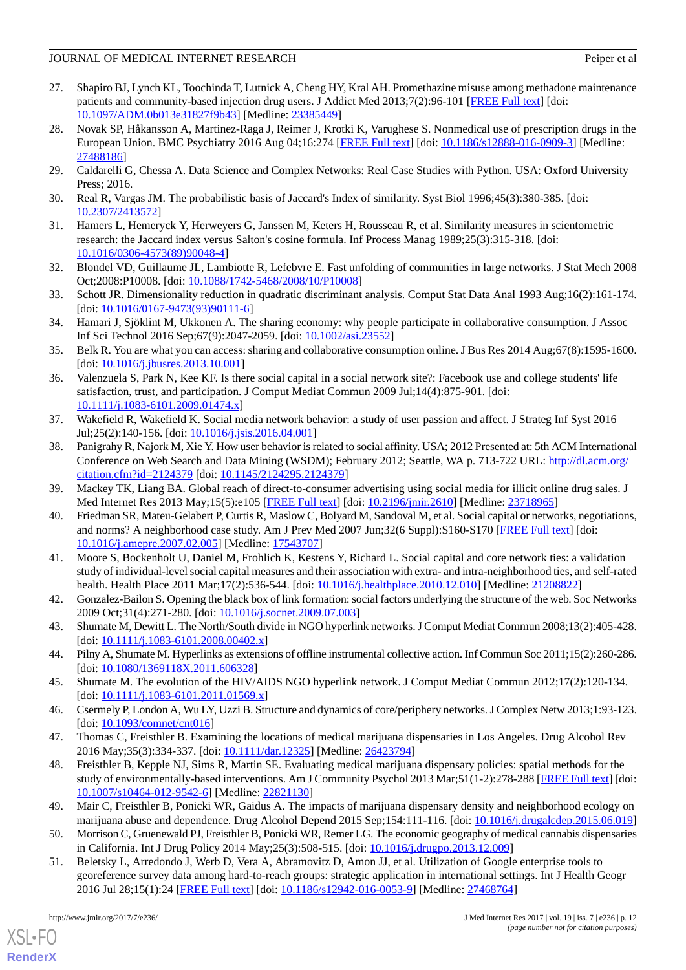- 27. Shapiro BJ, Lynch KL, Toochinda T, Lutnick A, Cheng HY, Kral AH. Promethazine misuse among methadone maintenance patients and community-based injection drug users. J Addict Med 2013;7(2):96-101 [\[FREE Full text\]](http://europepmc.org/abstract/MED/23385449) [doi: [10.1097/ADM.0b013e31827f9b43](http://dx.doi.org/10.1097/ADM.0b013e31827f9b43)] [Medline: [23385449](http://www.ncbi.nlm.nih.gov/entrez/query.fcgi?cmd=Retrieve&db=PubMed&list_uids=23385449&dopt=Abstract)]
- <span id="page-11-0"></span>28. Novak SP, Håkansson A, Martinez-Raga J, Reimer J, Krotki K, Varughese S. Nonmedical use of prescription drugs in the European Union. BMC Psychiatry 2016 Aug 04;16:274 [\[FREE Full text\]](https://bmcpsychiatry.biomedcentral.com/articles/10.1186/s12888-016-0909-3) [doi: [10.1186/s12888-016-0909-3](http://dx.doi.org/10.1186/s12888-016-0909-3)] [Medline: [27488186](http://www.ncbi.nlm.nih.gov/entrez/query.fcgi?cmd=Retrieve&db=PubMed&list_uids=27488186&dopt=Abstract)]
- <span id="page-11-2"></span><span id="page-11-1"></span>29. Caldarelli G, Chessa A. Data Science and Complex Networks: Real Case Studies with Python. USA: Oxford University Press; 2016.
- <span id="page-11-3"></span>30. Real R, Vargas JM. The probabilistic basis of Jaccard's Index of similarity. Syst Biol 1996;45(3):380-385. [doi: [10.2307/2413572\]](http://dx.doi.org/10.2307/2413572)
- <span id="page-11-4"></span>31. Hamers L, Hemeryck Y, Herweyers G, Janssen M, Keters H, Rousseau R, et al. Similarity measures in scientometric research: the Jaccard index versus Salton's cosine formula. Inf Process Manag 1989;25(3):315-318. [doi: [10.1016/0306-4573\(89\)90048-4](http://dx.doi.org/10.1016/0306-4573(89)90048-4)]
- <span id="page-11-5"></span>32. Blondel VD, Guillaume JL, Lambiotte R, Lefebvre E. Fast unfolding of communities in large networks. J Stat Mech 2008 Oct;2008:P10008. [doi: [10.1088/1742-5468/2008/10/P10008\]](http://dx.doi.org/10.1088/1742-5468/2008/10/P10008)
- <span id="page-11-6"></span>33. Schott JR. Dimensionality reduction in quadratic discriminant analysis. Comput Stat Data Anal 1993 Aug;16(2):161-174. [doi: [10.1016/0167-9473\(93\)90111-6](http://dx.doi.org/10.1016/0167-9473(93)90111-6)]
- <span id="page-11-7"></span>34. Hamari J, Sjöklint M, Ukkonen A. The sharing economy: why people participate in collaborative consumption. J Assoc Inf Sci Technol 2016 Sep;67(9):2047-2059. [doi: [10.1002/asi.23552\]](http://dx.doi.org/10.1002/asi.23552)
- <span id="page-11-8"></span>35. Belk R. You are what you can access: sharing and collaborative consumption online. J Bus Res 2014 Aug;67(8):1595-1600. [doi: 10.1016/*j.jbusres.2013.10.001*]
- 36. Valenzuela S, Park N, Kee KF. Is there social capital in a social network site?: Facebook use and college students' life satisfaction, trust, and participation. J Comput Mediat Commun 2009 Jul;14(4):875-901. [doi: [10.1111/j.1083-6101.2009.01474.x\]](http://dx.doi.org/10.1111/j.1083-6101.2009.01474.x)
- 37. Wakefield R, Wakefield K. Social media network behavior: a study of user passion and affect. J Strateg Inf Syst 2016 Jul;25(2):140-156. [doi: [10.1016/j.jsis.2016.04.001\]](http://dx.doi.org/10.1016/j.jsis.2016.04.001)
- 38. Panigrahy R, Najork M, Xie Y. How user behavior is related to social affinity. USA; 2012 Presented at: 5th ACM International Conference on Web Search and Data Mining (WSDM); February 2012; Seattle, WA p. 713-722 URL: [http://dl.acm.org/](http://dl.acm.org/citation.cfm?id=2124379) [citation.cfm?id=2124379](http://dl.acm.org/citation.cfm?id=2124379) [doi: [10.1145/2124295.2124379](http://dx.doi.org/10.1145/2124295.2124379)]
- 39. Mackey TK, Liang BA. Global reach of direct-to-consumer advertising using social media for illicit online drug sales. J Med Internet Res 2013 May;15(5):e105 [[FREE Full text](http://www.jmir.org/2013/5/e105/)] [doi: [10.2196/jmir.2610](http://dx.doi.org/10.2196/jmir.2610)] [Medline: [23718965](http://www.ncbi.nlm.nih.gov/entrez/query.fcgi?cmd=Retrieve&db=PubMed&list_uids=23718965&dopt=Abstract)]
- <span id="page-11-9"></span>40. Friedman SR, Mateu-Gelabert P, Curtis R, Maslow C, Bolyard M, Sandoval M, et al. Social capital or networks, negotiations, and norms? A neighborhood case study. Am J Prev Med 2007 Jun;32(6 Suppl):S160-S170 [[FREE Full text](http://europepmc.org/abstract/MED/17543707)] [doi: [10.1016/j.amepre.2007.02.005](http://dx.doi.org/10.1016/j.amepre.2007.02.005)] [Medline: [17543707\]](http://www.ncbi.nlm.nih.gov/entrez/query.fcgi?cmd=Retrieve&db=PubMed&list_uids=17543707&dopt=Abstract)
- <span id="page-11-10"></span>41. Moore S, Bockenholt U, Daniel M, Frohlich K, Kestens Y, Richard L. Social capital and core network ties: a validation study of individual-level social capital measures and their association with extra- and intra-neighborhood ties, and self-rated health. Health Place 2011 Mar; 17(2): 536-544. [doi: 10.1016/j.healthplace. 2010.12.010] [Medline: [21208822\]](http://www.ncbi.nlm.nih.gov/entrez/query.fcgi?cmd=Retrieve&db=PubMed&list_uids=21208822&dopt=Abstract)
- 42. Gonzalez-Bailon S. Opening the black box of link formation: social factors underlying the structure of the web. Soc Networks 2009 Oct;31(4):271-280. [doi: [10.1016/j.socnet.2009.07.003](http://dx.doi.org/10.1016/j.socnet.2009.07.003)]
- <span id="page-11-12"></span><span id="page-11-11"></span>43. Shumate M, Dewitt L. The North/South divide in NGO hyperlink networks. J Comput Mediat Commun 2008;13(2):405-428. [doi: [10.1111/j.1083-6101.2008.00402.x](http://dx.doi.org/10.1111/j.1083-6101.2008.00402.x)]
- <span id="page-11-13"></span>44. Pilny A, Shumate M. Hyperlinks as extensions of offline instrumental collective action. Inf Commun Soc 2011;15(2):260-286. [doi: [10.1080/1369118X.2011.606328](http://dx.doi.org/10.1080/1369118X.2011.606328)]
- 45. Shumate M. The evolution of the HIV/AIDS NGO hyperlink network. J Comput Mediat Commun 2012;17(2):120-134. [doi: [10.1111/j.1083-6101.2011.01569.x](http://dx.doi.org/10.1111/j.1083-6101.2011.01569.x)]
- 46. Csermely P, London A, Wu LY, Uzzi B. Structure and dynamics of core/periphery networks. J Complex Netw 2013;1:93-123. [doi: [10.1093/comnet/cnt016\]](http://dx.doi.org/10.1093/comnet/cnt016)
- 47. Thomas C, Freisthler B. Examining the locations of medical marijuana dispensaries in Los Angeles. Drug Alcohol Rev 2016 May;35(3):334-337. [doi: [10.1111/dar.12325](http://dx.doi.org/10.1111/dar.12325)] [Medline: [26423794](http://www.ncbi.nlm.nih.gov/entrez/query.fcgi?cmd=Retrieve&db=PubMed&list_uids=26423794&dopt=Abstract)]
- <span id="page-11-15"></span><span id="page-11-14"></span>48. Freisthler B, Kepple NJ, Sims R, Martin SE. Evaluating medical marijuana dispensary policies: spatial methods for the study of environmentally-based interventions. Am J Community Psychol 2013 Mar;51(1-2):278-288 [\[FREE Full text\]](http://europepmc.org/abstract/MED/22821130) [doi: [10.1007/s10464-012-9542-6\]](http://dx.doi.org/10.1007/s10464-012-9542-6) [Medline: [22821130](http://www.ncbi.nlm.nih.gov/entrez/query.fcgi?cmd=Retrieve&db=PubMed&list_uids=22821130&dopt=Abstract)]
- 49. Mair C, Freisthler B, Ponicki WR, Gaidus A. The impacts of marijuana dispensary density and neighborhood ecology on marijuana abuse and dependence. Drug Alcohol Depend 2015 Sep;154:111-116. [doi: [10.1016/j.drugalcdep.2015.06.019](http://dx.doi.org/10.1016/j.drugalcdep.2015.06.019)]
- 50. Morrison C, Gruenewald PJ, Freisthler B, Ponicki WR, Remer LG. The economic geography of medical cannabis dispensaries in California. Int J Drug Policy 2014 May;25(3):508-515. [doi: [10.1016/j.drugpo.2013.12.009](http://dx.doi.org/10.1016/j.drugpo.2013.12.009)]
- 51. Beletsky L, Arredondo J, Werb D, Vera A, Abramovitz D, Amon JJ, et al. Utilization of Google enterprise tools to georeference survey data among hard-to-reach groups: strategic application in international settings. Int J Health Geogr 2016 Jul 28;15(1):24 [\[FREE Full text\]](https://ij-healthgeographics.biomedcentral.com/articles/10.1186/s12942-016-0053-9) [doi: [10.1186/s12942-016-0053-9](http://dx.doi.org/10.1186/s12942-016-0053-9)] [Medline: [27468764\]](http://www.ncbi.nlm.nih.gov/entrez/query.fcgi?cmd=Retrieve&db=PubMed&list_uids=27468764&dopt=Abstract)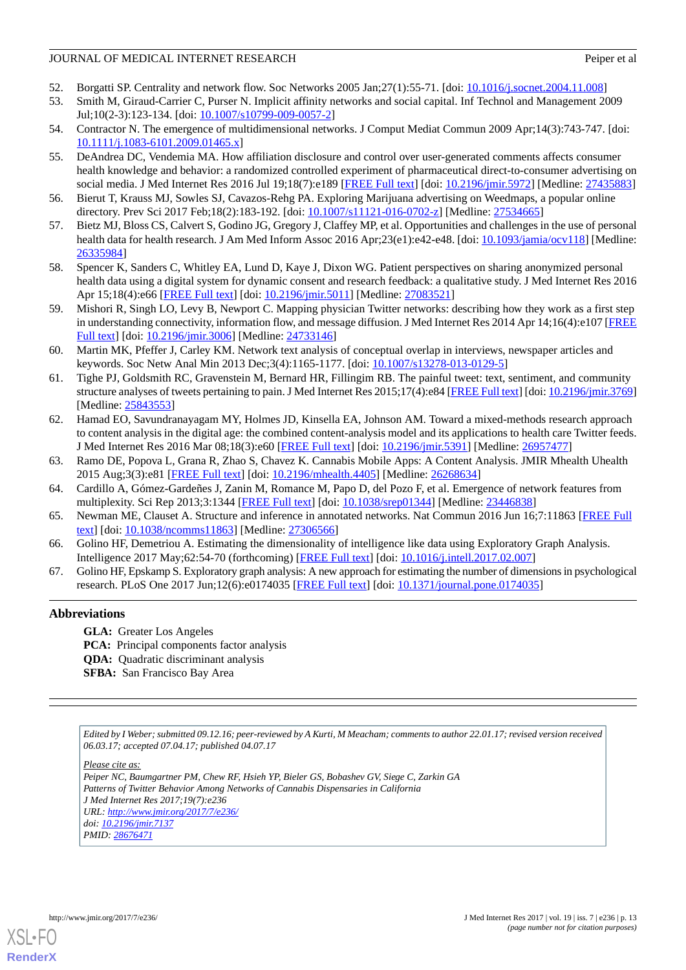- <span id="page-12-0"></span>52. Borgatti SP. Centrality and network flow. Soc Networks 2005 Jan;27(1):55-71. [doi: [10.1016/j.socnet.2004.11.008\]](http://dx.doi.org/10.1016/j.socnet.2004.11.008)
- 53. Smith M, Giraud-Carrier C, Purser N. Implicit affinity networks and social capital. Inf Technol and Management 2009 Jul;10(2-3):123-134. [doi: <u>10.1007/s10799-009-0057-2</u>]
- <span id="page-12-2"></span><span id="page-12-1"></span>54. Contractor N. The emergence of multidimensional networks. J Comput Mediat Commun 2009 Apr;14(3):743-747. [doi: [10.1111/j.1083-6101.2009.01465.x\]](http://dx.doi.org/10.1111/j.1083-6101.2009.01465.x)
- 55. DeAndrea DC, Vendemia MA. How affiliation disclosure and control over user-generated comments affects consumer health knowledge and behavior: a randomized controlled experiment of pharmaceutical direct-to-consumer advertising on social media. J Med Internet Res 2016 Jul 19;18(7):e189 [\[FREE Full text\]](http://www.jmir.org/2016/7/e189/) [doi: [10.2196/jmir.5972\]](http://dx.doi.org/10.2196/jmir.5972) [Medline: [27435883\]](http://www.ncbi.nlm.nih.gov/entrez/query.fcgi?cmd=Retrieve&db=PubMed&list_uids=27435883&dopt=Abstract)
- <span id="page-12-4"></span><span id="page-12-3"></span>56. Bierut T, Krauss MJ, Sowles SJ, Cavazos-Rehg PA. Exploring Marijuana advertising on Weedmaps, a popular online directory. Prev Sci 2017 Feb;18(2):183-192. [doi: [10.1007/s11121-016-0702-z\]](http://dx.doi.org/10.1007/s11121-016-0702-z) [Medline: [27534665\]](http://www.ncbi.nlm.nih.gov/entrez/query.fcgi?cmd=Retrieve&db=PubMed&list_uids=27534665&dopt=Abstract)
- <span id="page-12-5"></span>57. Bietz MJ, Bloss CS, Calvert S, Godino JG, Gregory J, Claffey MP, et al. Opportunities and challenges in the use of personal health data for health research. J Am Med Inform Assoc 2016 Apr;23(e1):e42-e48. [doi: [10.1093/jamia/ocv118\]](http://dx.doi.org/10.1093/jamia/ocv118) [Medline: [26335984](http://www.ncbi.nlm.nih.gov/entrez/query.fcgi?cmd=Retrieve&db=PubMed&list_uids=26335984&dopt=Abstract)]
- <span id="page-12-6"></span>58. Spencer K, Sanders C, Whitley EA, Lund D, Kaye J, Dixon WG. Patient perspectives on sharing anonymized personal health data using a digital system for dynamic consent and research feedback: a qualitative study. J Med Internet Res 2016 Apr 15;18(4):e66 [\[FREE Full text](http://www.jmir.org/2016/4/e66/)] [doi: [10.2196/jmir.5011\]](http://dx.doi.org/10.2196/jmir.5011) [Medline: [27083521](http://www.ncbi.nlm.nih.gov/entrez/query.fcgi?cmd=Retrieve&db=PubMed&list_uids=27083521&dopt=Abstract)]
- <span id="page-12-7"></span>59. Mishori R, Singh LO, Levy B, Newport C. Mapping physician Twitter networks: describing how they work as a first step in understanding connectivity, information flow, and message diffusion. J Med Internet Res 2014 Apr 14;16(4):e107 [\[FREE](http://www.jmir.org/2014/4/e107/) [Full text\]](http://www.jmir.org/2014/4/e107/) [doi: [10.2196/jmir.3006](http://dx.doi.org/10.2196/jmir.3006)] [Medline: [24733146\]](http://www.ncbi.nlm.nih.gov/entrez/query.fcgi?cmd=Retrieve&db=PubMed&list_uids=24733146&dopt=Abstract)
- <span id="page-12-8"></span>60. Martin MK, Pfeffer J, Carley KM. Network text analysis of conceptual overlap in interviews, newspaper articles and keywords. Soc Netw Anal Min 2013 Dec;3(4):1165-1177. [doi: [10.1007/s13278-013-0129-5\]](http://dx.doi.org/10.1007/s13278-013-0129-5)
- 61. Tighe PJ, Goldsmith RC, Gravenstein M, Bernard HR, Fillingim RB. The painful tweet: text, sentiment, and community structure analyses of tweets pertaining to pain. J Med Internet Res 2015;17(4):e84 [\[FREE Full text](http://www.jmir.org/2015/4/e84/)] [doi: [10.2196/jmir.3769\]](http://dx.doi.org/10.2196/jmir.3769) [Medline: [25843553](http://www.ncbi.nlm.nih.gov/entrez/query.fcgi?cmd=Retrieve&db=PubMed&list_uids=25843553&dopt=Abstract)]
- <span id="page-12-10"></span><span id="page-12-9"></span>62. Hamad EO, Savundranayagam MY, Holmes JD, Kinsella EA, Johnson AM. Toward a mixed-methods research approach to content analysis in the digital age: the combined content-analysis model and its applications to health care Twitter feeds. J Med Internet Res 2016 Mar 08;18(3):e60 [[FREE Full text](http://www.jmir.org/2016/3/e60/)] [doi: [10.2196/jmir.5391\]](http://dx.doi.org/10.2196/jmir.5391) [Medline: [26957477](http://www.ncbi.nlm.nih.gov/entrez/query.fcgi?cmd=Retrieve&db=PubMed&list_uids=26957477&dopt=Abstract)]
- <span id="page-12-11"></span>63. Ramo DE, Popova L, Grana R, Zhao S, Chavez K. Cannabis Mobile Apps: A Content Analysis. JMIR Mhealth Uhealth 2015 Aug;3(3):e81 [[FREE Full text](http://mhealth.jmir.org/2015/3/e81/)] [doi: [10.2196/mhealth.4405](http://dx.doi.org/10.2196/mhealth.4405)] [Medline: [26268634](http://www.ncbi.nlm.nih.gov/entrez/query.fcgi?cmd=Retrieve&db=PubMed&list_uids=26268634&dopt=Abstract)]
- <span id="page-12-12"></span>64. Cardillo A, Gómez-Gardeñes J, Zanin M, Romance M, Papo D, del Pozo F, et al. Emergence of network features from multiplexity. Sci Rep 2013;3:1344 [[FREE Full text](http://dx.doi.org/10.1038/srep01344)] [doi: [10.1038/srep01344](http://dx.doi.org/10.1038/srep01344)] [Medline: [23446838](http://www.ncbi.nlm.nih.gov/entrez/query.fcgi?cmd=Retrieve&db=PubMed&list_uids=23446838&dopt=Abstract)]
- <span id="page-12-13"></span>65. Newman ME, Clauset A. Structure and inference in annotated networks. Nat Commun 2016 Jun 16;7:11863 [[FREE Full](http://europepmc.org/abstract/MED/27306566) [text](http://europepmc.org/abstract/MED/27306566)] [doi: [10.1038/ncomms11863\]](http://dx.doi.org/10.1038/ncomms11863) [Medline: [27306566](http://www.ncbi.nlm.nih.gov/entrez/query.fcgi?cmd=Retrieve&db=PubMed&list_uids=27306566&dopt=Abstract)]
- 66. Golino HF, Demetriou A. Estimating the dimensionality of intelligence like data using Exploratory Graph Analysis. Intelligence 2017 May;62:54-70 (forthcoming) [\[FREE Full text\]](http://www.sciencedirect.com/science/article/pii/S0160289616302240) [doi: [10.1016/j.intell.2017.02.007\]](http://dx.doi.org/10.1016/j.intell.2017.02.007)
- 67. Golino HF, Epskamp S. Exploratory graph analysis: A new approach for estimating the number of dimensions in psychological research. PLoS One 2017 Jun;12(6):e0174035 [[FREE Full text](http://www.sciencedirect.com/science/article/pii/S0160289616302240)] [doi: [10.1371/journal.pone.0174035](http://dx.doi.org/10.1371/journal.pone.0174035)]

#### **Abbreviations**

**GLA:** Greater Los Angeles **PCA:** Principal components factor analysis **QDA:** Quadratic discriminant analysis **SFBA:** San Francisco Bay Area

*Edited by I Weber; submitted 09.12.16; peer-reviewed by A Kurti, M Meacham; comments to author 22.01.17; revised version received 06.03.17; accepted 07.04.17; published 04.07.17*

*Please cite as: Peiper NC, Baumgartner PM, Chew RF, Hsieh YP, Bieler GS, Bobashev GV, Siege C, Zarkin GA Patterns of Twitter Behavior Among Networks of Cannabis Dispensaries in California J Med Internet Res 2017;19(7):e236 URL: <http://www.jmir.org/2017/7/e236/> doi: [10.2196/jmir.7137](http://dx.doi.org/10.2196/jmir.7137) PMID: [28676471](http://www.ncbi.nlm.nih.gov/entrez/query.fcgi?cmd=Retrieve&db=PubMed&list_uids=28676471&dopt=Abstract)*